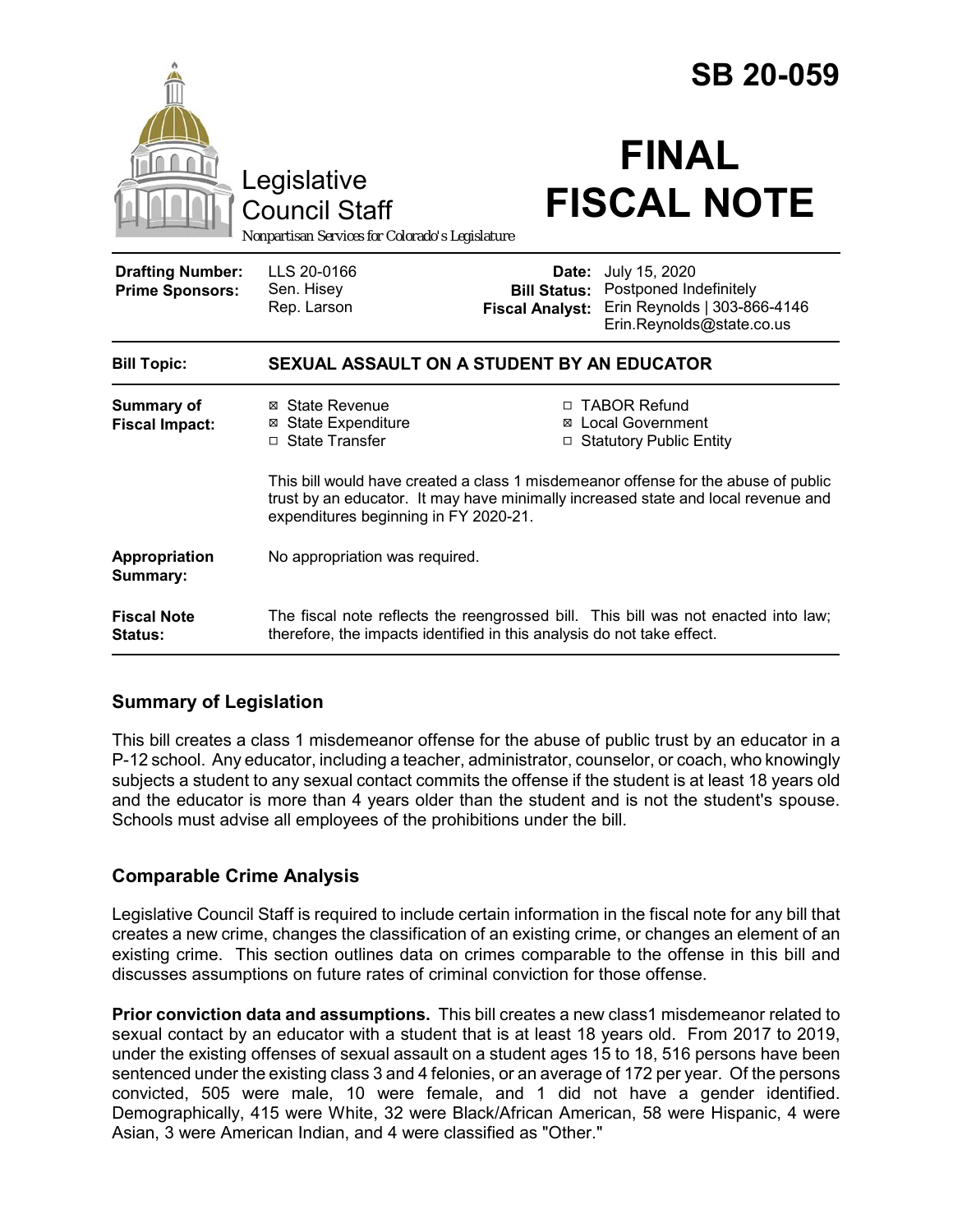| Legislative                                       |                                                                                                                                                                                                                  | <b>SB 20-059</b><br><b>FINAL</b>                       |                                                                                                      |
|---------------------------------------------------|------------------------------------------------------------------------------------------------------------------------------------------------------------------------------------------------------------------|--------------------------------------------------------|------------------------------------------------------------------------------------------------------|
|                                                   | <b>Council Staff</b><br>Nonpartisan Services for Colorado's Legislature                                                                                                                                          |                                                        | <b>FISCAL NOTE</b>                                                                                   |
| <b>Drafting Number:</b><br><b>Prime Sponsors:</b> | LLS 20-0166<br>Sen. Hisey<br>Rep. Larson                                                                                                                                                                         | Date:<br><b>Bill Status:</b><br><b>Fiscal Analyst:</b> | July 15, 2020<br>Postponed Indefinitely<br>Erin Reynolds   303-866-4146<br>Erin.Reynolds@state.co.us |
| <b>Bill Topic:</b>                                | SEXUAL ASSAULT ON A STUDENT BY AN EDUCATOR                                                                                                                                                                       |                                                        |                                                                                                      |
| Summary of<br><b>Fiscal Impact:</b>               | ⊠ State Revenue<br><b>State Expenditure</b><br>⊠<br>□ State Transfer                                                                                                                                             |                                                        | □ TABOR Refund<br>⊠ Local Government<br>□ Statutory Public Entity                                    |
|                                                   | This bill would have created a class 1 misdemeanor offense for the abuse of public<br>trust by an educator. It may have minimally increased state and local revenue and<br>expenditures beginning in FY 2020-21. |                                                        |                                                                                                      |
| Appropriation<br>Summary:                         | No appropriation was required.                                                                                                                                                                                   |                                                        |                                                                                                      |
| <b>Fiscal Note</b><br>Status:                     | The fiscal note reflects the reengrossed bill. This bill was not enacted into law;<br>therefore, the impacts identified in this analysis do not take effect.                                                     |                                                        |                                                                                                      |

# **Summary of Legislation**

This bill creates a class 1 misdemeanor offense for the abuse of public trust by an educator in a P-12 school. Any educator, including a teacher, administrator, counselor, or coach, who knowingly subjects a student to any sexual contact commits the offense if the student is at least 18 years old and the educator is more than 4 years older than the student and is not the student's spouse. Schools must advise all employees of the prohibitions under the bill.

# **Comparable Crime Analysis**

Legislative Council Staff is required to include certain information in the fiscal note for any bill that creates a new crime, changes the classification of an existing crime, or changes an element of an existing crime. This section outlines data on crimes comparable to the offense in this bill and discusses assumptions on future rates of criminal conviction for those offense.

**Prior conviction data and assumptions.** This bill creates a new class1 misdemeanor related to sexual contact by an educator with a student that is at least 18 years old. From 2017 to 2019, under the existing offenses of sexual assault on a student ages 15 to 18, 516 persons have been sentenced under the existing class 3 and 4 felonies, or an average of 172 per year. Of the persons convicted, 505 were male, 10 were female, and 1 did not have a gender identified. Demographically, 415 were White, 32 were Black/African American, 58 were Hispanic, 4 were Asian, 3 were American Indian, and 4 were classified as "Other."